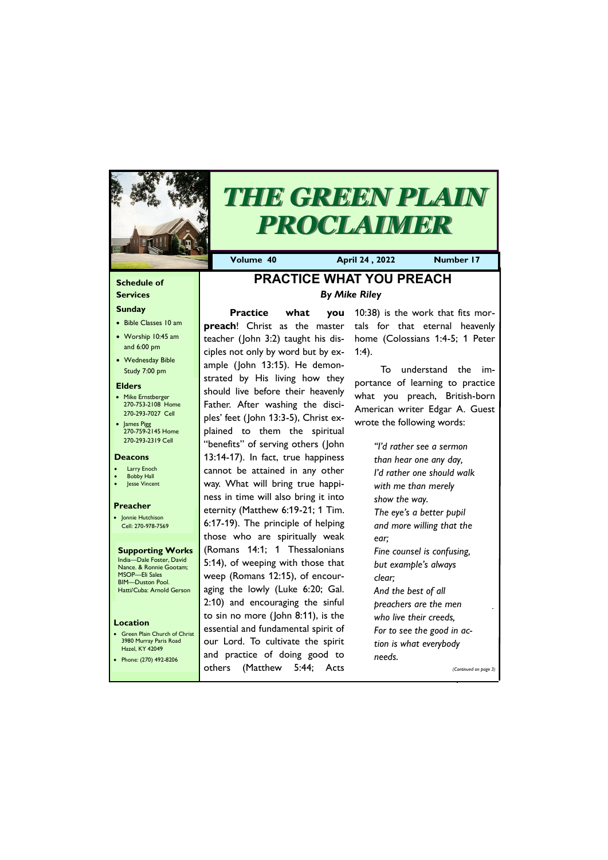## **Schedule of Services**

#### **Sunday**

- Bible Classes 10 am
- Worship 10:45 am and 6:00 pm
- Wednesday Bible Study 7:00 pm

#### **Elders**

- Mike Ernstberger 270-753-2108 Home 270-293-7027 Cell
- James Pigg 270-759-2145 Home 270-293-2319 Cell

#### **Location**

• Green Plain Church of Christ 3980 Murray Paris Road Hazel, KY 42049



# *THE GREEN PLAIN PROCLAIMER*

**Volume 40 April 24 , 2022 Number 17**

#### **Deacons**

- **Larry Enoch**
- **Bobby Hall**
- Jesse Vincent

#### **Preacher**

• Jonnie Hutchison Cell: 270-978-7569

#### **Supporting Works** India—Dale Foster, David Nance. & Ronnie Gootam; MSOP—Eli Sales

BIM—Duston Pool. Hatti/Cuba: Arnold Gerson

# **PRACTICE WHAT YOU PREACH** *By Mike Riley*

**Practice what you preach**! Christ as the master teacher (John 3:2) taught his disciples not only by word but by example (John 13:15). He demonstrated by His living how they should live before their heavenly Father. After washing the disciples' feet (John 13:3-5), Christ explained to them the spiritual "benefits" of serving others (John 13:14-17). In fact, true happiness cannot be attained in any other way. What will bring true happiness in time will also bring it into eternity (Matthew 6:19-21; 1 Tim. 6:17-19). The principle of helping those who are spiritually weak (Romans 14:1; 1 Thessalonians 5:14), of weeping with those that weep (Romans 12:15), of encouraging the lowly (Luke 6:20; Gal. 2:10) and encouraging the sinful to sin no more (John 8:11), is the essential and fundamental spirit of our Lord. To cultivate the spirit

| Phone: (270) 492-8206 | and practice of doing good to<br>needs. |                       |
|-----------------------|-----------------------------------------|-----------------------|
|                       | others (Matthew 5:44; Acts              | (Continued on page 3) |

10:38) is the work that fits mortals for that eternal heavenly home (Colossians 1:4-5; 1 Peter 1:4).

To understand the importance of learning to practice what you preach, British-born American writer Edgar A. Guest wrote the following words:

> *"I'd rather see a sermon than hear one any day, I'd rather one should walk with me than merely show the way. The eye's a better pupil and more willing that the ear; Fine counsel is confusing, but example's always clear; And the best of all preachers are the men who live their creeds,*

*For to see the good in action is what everybody*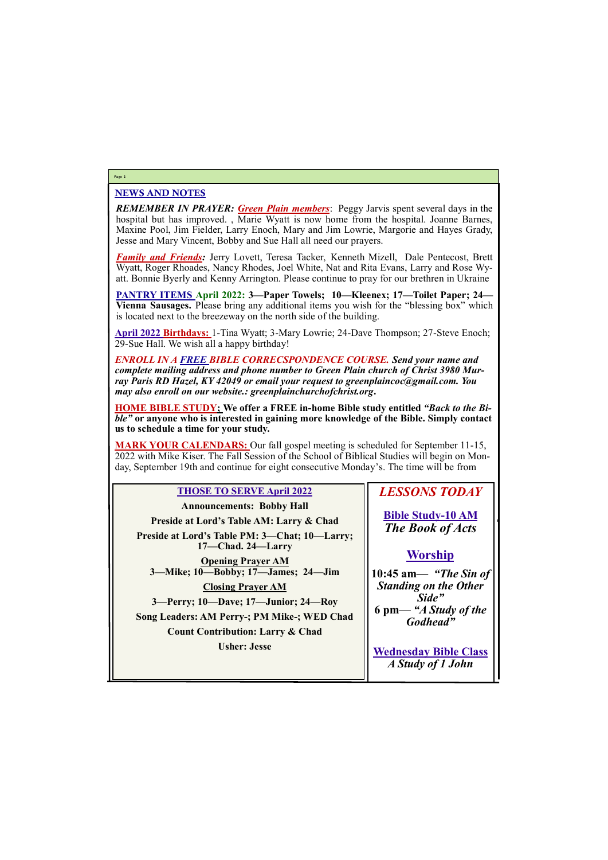## NEWS AND NOTES

*REMEMBER IN PRAYER: Green Plain members*: Peggy Jarvis spent several days in the hospital but has improved. , Marie Wyatt is now home from the hospital. Joanne Barnes, Maxine Pool, Jim Fielder, Larry Enoch, Mary and Jim Lowrie, Margorie and Hayes Grady, Jesse and Mary Vincent, Bobby and Sue Hall all need our prayers.

*Family and Friends:* Jerry Lovett, Teresa Tacker, Kenneth Mizell, Dale Pentecost, Brett Wyatt, Roger Rhoades, Nancy Rhodes, Joel White, Nat and Rita Evans, Larry and Rose Wyatt. Bonnie Byerly and Kenny Arrington. Please continue to pray for our brethren in Ukraine

**PANTRY ITEMS April 2022: 3—Paper Towels; 10—Kleenex; 17—Toilet Paper; 24— Vienna Sausages.** Please bring any additional items you wish for the "blessing box" which is located next to the breezeway on the north side of the building.

**April 2022 Birthdays:** 1-Tina Wyatt; 3-Mary Lowrie; 24-Dave Thompson; 27-Steve Enoch; 29-Sue Hall. We wish all a happy birthday!

*ENROLL IN A FREE BIBLE CORRECSPONDENCE COURSE. Send your name and complete mailing address and phone number to Green Plain church of Christ 3980 Murray Paris RD Hazel, KY 42049 or email your request to greenplaincoc@gmail.com. You may also enroll on our website.: greenplainchurchofchrist.org***.**

**HOME BIBLE STUDY; We offer a FREE in-home Bible study entitled** *"Back to the Bible"* **or anyone who is interested in gaining more knowledge of the Bible. Simply contact us to schedule a time for your study.**

**MARK YOUR CALENDARS:** Our fall gospel meeting is scheduled for September 11-15, 2022 with Mike Kiser. The Fall Session of the School of Biblical Studies will begin on Monday, September 19th and continue for eight consecutive Monday's. The time will be from

## **Page 2**

## **THOSE TO SERVE April 2022**

| <b>Announcements: Bobby Hall</b>                                   |  |  |
|--------------------------------------------------------------------|--|--|
| Preside at Lord's Table AM: Larry & Chad                           |  |  |
| Preside at Lord's Table PM: 3—Chat; 10—Larry;<br>17-Chad. 24-Larry |  |  |
| <b>Opening Prayer AM</b><br>3—Mike; 10—Bobby; 17—James; 24—Jim     |  |  |
| <b>Closing Prayer AM</b>                                           |  |  |
| 3—Perry; 10—Dave; 17—Junior; 24—Roy                                |  |  |
| Song Leaders: AM Perry-; PM Mike-; WED Chad                        |  |  |
| <b>Count Contribution: Larry &amp; Chad</b>                        |  |  |
| <b>Usher: Jesse</b>                                                |  |  |

# *LESSONS TODAY*

**Bible Study-10 AM** *The Book of Acts*

# **Worship**

**10:45 am***— "The Sin of Standing on the Other Side"* **6 pm—** *"A Study of the Godhead"*

| USHEL. JESSE | <b>Wednesday Bible Class</b> |
|--------------|------------------------------|
|              | A Study of 1 John            |
|              |                              |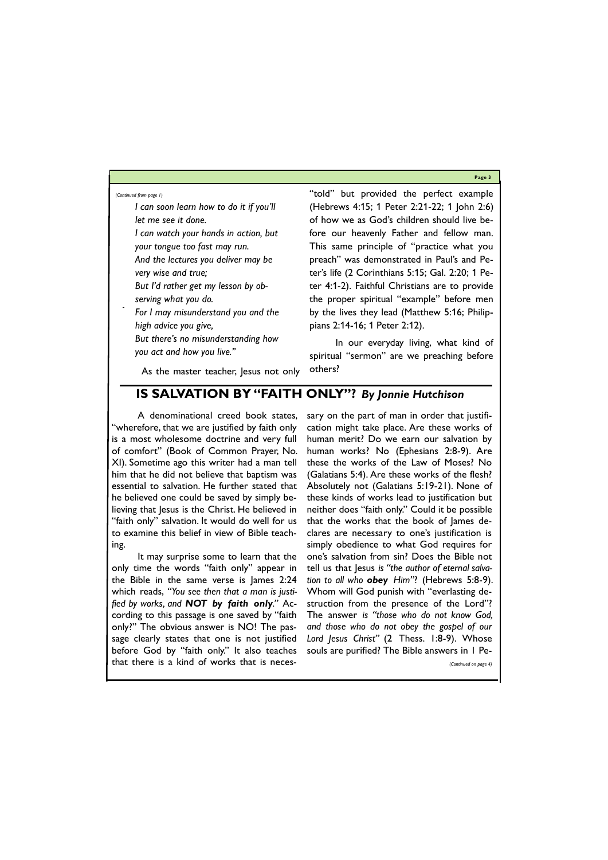**Page 3**

*I can soon learn how to do it if you'll let me see it done.*

- *I can watch your hands in action, but your tongue too fast may run.*
- *And the lectures you deliver may be very wise and true;*
- *But I'd rather get my lesson by observing what you do.*
- *For I may misunderstand you and the high advice you give,*
- *But there's no misunderstanding how you act and how you live."*

As the master teacher, Jesus not only

"told" but provided the perfect example (Hebrews 4:15; 1 Peter 2:21-22; 1 John 2:6) of how we as God's children should live before our heavenly Father and fellow man. This same principle of "practice what you preach" was demonstrated in Paul's and Peter's life (2 Corinthians 5:15; Gal. 2:20; 1 Peter 4:1-2). Faithful Christians are to provide the proper spiritual "example" before men by the lives they lead (Matthew 5:16; Philippians 2:14-16; 1 Peter 2:12).

In our everyday living, what kind of spiritual "sermon" are we preaching before others?

*(Continued from page 1)*

## **IS SALVATION BY "FAITH ONLY"?** *By Jonnie Hutchison*

A denominational creed book states, "wherefore, that we are justified by faith only is a most wholesome doctrine and very full of comfort" (Book of Common Prayer, No. XI). Sometime ago this writer had a man tell him that he did not believe that baptism was essential to salvation. He further stated that he believed one could be saved by simply believing that Jesus is the Christ. He believed in "faith only" salvation. It would do well for us to examine this belief in view of Bible teaching.

It may surprise some to learn that the only time the words "faith only" appear in the Bible in the same verse is James 2:24 which reads, *"You see then that a man is justified by works, and NOT by faith only."* According to this passage is one saved by "faith only?" The obvious answer is NO! The passage clearly states that one is not justified

before God by "faith only." It also teaches souls are purified? The Bible answers in 1 Pe that there is a kind of works that is neces-*(Continued on page 4)*

sary on the part of man in order that justification might take place. Are these works of human merit? Do we earn our salvation by human works? No (Ephesians 2:8-9). Are these the works of the Law of Moses? No (Galatians 5:4). Are these works of the flesh? Absolutely not (Galatians 5:19-21). None of these kinds of works lead to justification but neither does "faith only." Could it be possible that the works that the book of James declares are necessary to one's justification is simply obedience to what God requires for one's salvation from sin? Does the Bible not tell us that Jesus *is "the author of eternal salvation to all who obey Him"*? (Hebrews 5:8-9). Whom will God punish with "everlasting destruction from the presence of the Lord"? The answer *is "those who do not know God, and those who do not obey the gospel of our Lord Jesus Christ"* (2 Thess. 1:8-9). Whose